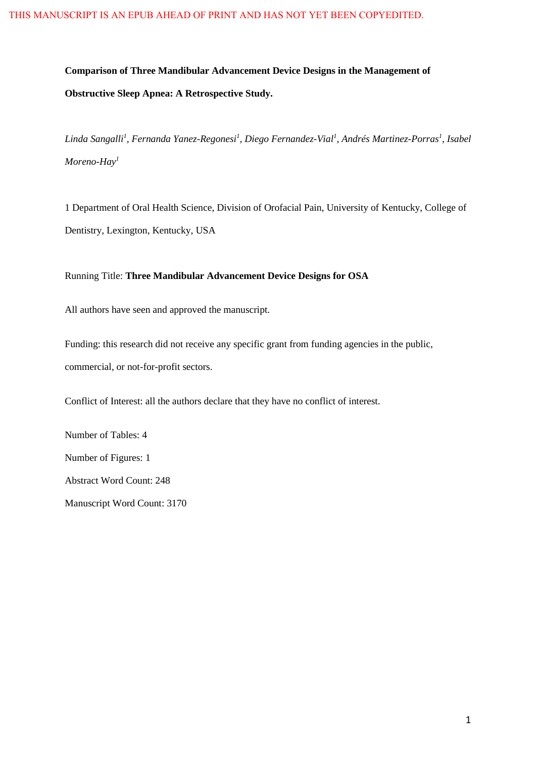**Comparison of Three Mandibular Advancement Device Designs in the Management of Obstructive Sleep Apnea: A Retrospective Study.**

*Linda Sangalli<sup>1</sup> , Fernanda Yanez-Regonesi<sup>1</sup> , Diego Fernandez-Vial<sup>1</sup> , Andrés Martinez-Porras<sup>1</sup> , Isabel Moreno-Hay<sup>1</sup>*

1 Department of Oral Health Science, Division of Orofacial Pain, University of Kentucky, College of Dentistry, Lexington, Kentucky, USA

Running Title: **Three Mandibular Advancement Device Designs for OSA**

All authors have seen and approved the manuscript.

Funding: this research did not receive any specific grant from funding agencies in the public, commercial, or not-for-profit sectors.

Conflict of Interest: all the authors declare that they have no conflict of interest.

Number of Tables: 4 Number of Figures: 1 Abstract Word Count: 248 Manuscript Word Count: 3170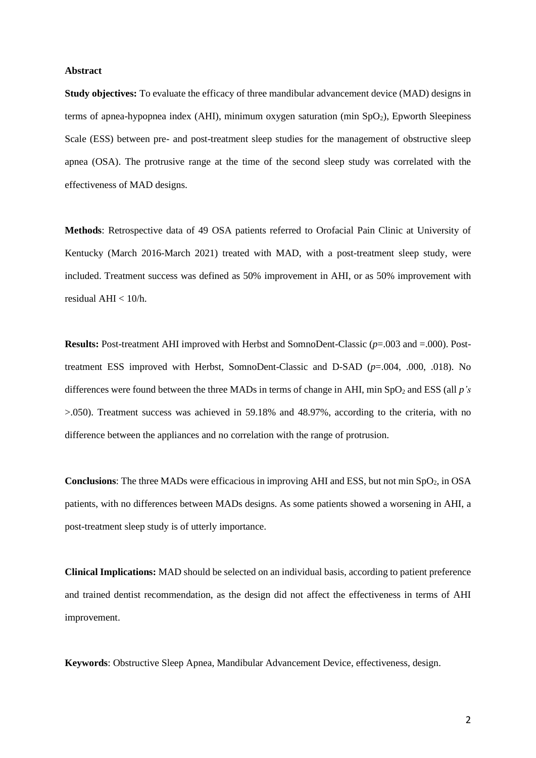#### **Abstract**

**Study objectives:** To evaluate the efficacy of three mandibular advancement device (MAD) designs in terms of apnea-hypopnea index (AHI), minimum oxygen saturation (min  $SpO<sub>2</sub>$ ), Epworth Sleepiness Scale (ESS) between pre- and post-treatment sleep studies for the management of obstructive sleep apnea (OSA). The protrusive range at the time of the second sleep study was correlated with the effectiveness of MAD designs.

**Methods**: Retrospective data of 49 OSA patients referred to Orofacial Pain Clinic at University of Kentucky (March 2016-March 2021) treated with MAD, with a post-treatment sleep study, were included. Treatment success was defined as 50% improvement in AHI, or as 50% improvement with residual AHI  $< 10/h$ .

**Results:** Post-treatment AHI improved with Herbst and SomnoDent-Classic (*p*=.003 and =.000). Posttreatment ESS improved with Herbst, SomnoDent-Classic and D-SAD (*p*=.004, .000, .018). No differences were found between the three MADs in terms of change in AHI, min  $SpO<sub>2</sub>$  and ESS (all  $p's$ >.050). Treatment success was achieved in 59.18% and 48.97%, according to the criteria, with no difference between the appliances and no correlation with the range of protrusion.

**Conclusions:** The three MADs were efficacious in improving AHI and ESS, but not min SpO<sub>2</sub>, in OSA patients, with no differences between MADs designs. As some patients showed a worsening in AHI, a post-treatment sleep study is of utterly importance.

**Clinical Implications:** MAD should be selected on an individual basis, according to patient preference and trained dentist recommendation, as the design did not affect the effectiveness in terms of AHI improvement.

**Keywords**: Obstructive Sleep Apnea, Mandibular Advancement Device, effectiveness, design.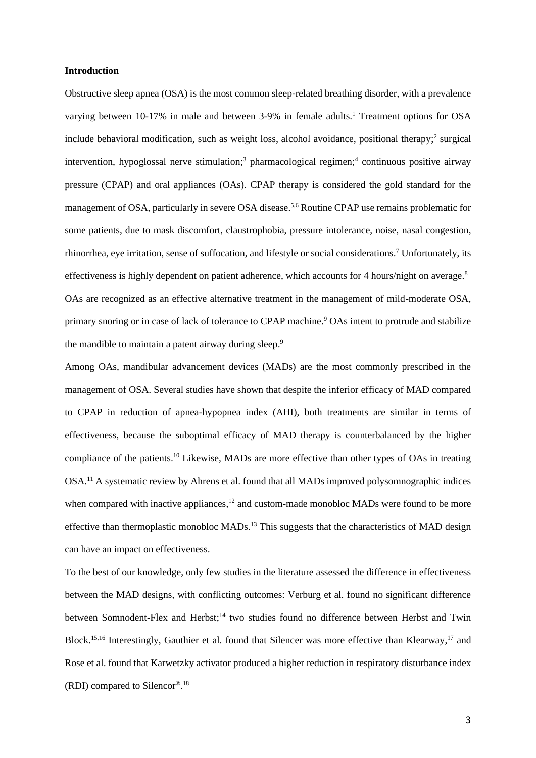#### **Introduction**

Obstructive sleep apnea (OSA) is the most common sleep-related breathing disorder, with a prevalence varying between 10-17% in male and between 3-9% in female adults.<sup>1</sup> Treatment options for OSA include behavioral modification, such as weight loss, alcohol avoidance, positional therapy;<sup>2</sup> surgical intervention, hypoglossal nerve stimulation; <sup>3</sup> pharmacological regimen; 4 continuous positive airway pressure (CPAP) and oral appliances (OAs). CPAP therapy is considered the gold standard for the management of OSA, particularly in severe OSA disease.<sup>5,6</sup> Routine CPAP use remains problematic for some patients, due to mask discomfort, claustrophobia, pressure intolerance, noise, nasal congestion, rhinorrhea, eye irritation, sense of suffocation, and lifestyle or social considerations. <sup>7</sup> Unfortunately, its effectiveness is highly dependent on patient adherence, which accounts for 4 hours/night on average.<sup>8</sup> OAs are recognized as an effective alternative treatment in the management of mild-moderate OSA, primary snoring or in case of lack of tolerance to CPAP machine. <sup>9</sup> OAs intent to protrude and stabilize the mandible to maintain a patent airway during sleep.<sup>9</sup>

Among OAs, mandibular advancement devices (MADs) are the most commonly prescribed in the management of OSA. Several studies have shown that despite the inferior efficacy of MAD compared to CPAP in reduction of apnea-hypopnea index (AHI), both treatments are similar in terms of effectiveness, because the suboptimal efficacy of MAD therapy is counterbalanced by the higher compliance of the patients. <sup>10</sup> Likewise, MADs are more effective than other types of OAs in treating OSA.<sup>11</sup> A systematic review by Ahrens et al. found that all MADs improved polysomnographic indices when compared with inactive appliances, $12$  and custom-made monobloc MADs were found to be more effective than thermoplastic monobloc MADs.<sup>13</sup> This suggests that the characteristics of MAD design can have an impact on effectiveness.

To the best of our knowledge, only few studies in the literature assessed the difference in effectiveness between the MAD designs, with conflicting outcomes: Verburg et al. found no significant difference between Somnodent-Flex and Herbst;<sup>14</sup> two studies found no difference between Herbst and Twin Block.<sup>15,16</sup> Interestingly, Gauthier et al. found that Silencer was more effective than Klearway,<sup>17</sup> and Rose et al. found that Karwetzky activator produced a higher reduction in respiratory disturbance index (RDI) compared to Silencor®. 18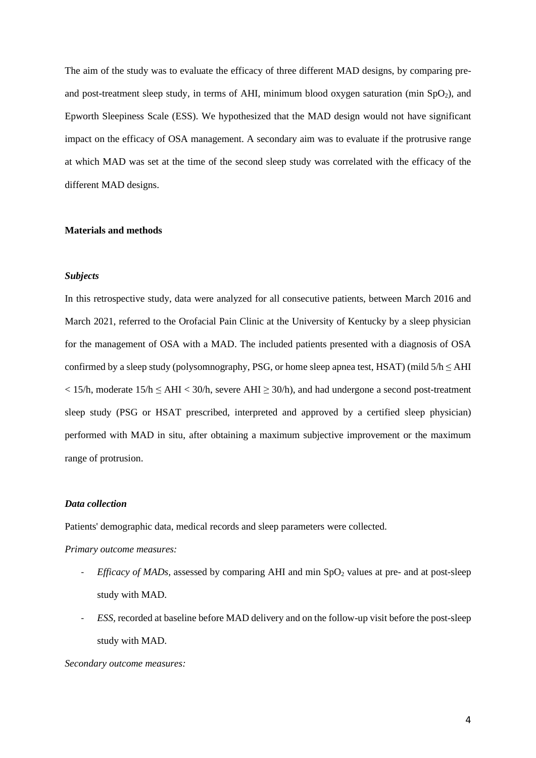The aim of the study was to evaluate the efficacy of three different MAD designs, by comparing preand post-treatment sleep study, in terms of AHI, minimum blood oxygen saturation (min  $SpO<sub>2</sub>$ ), and Epworth Sleepiness Scale (ESS). We hypothesized that the MAD design would not have significant impact on the efficacy of OSA management. A secondary aim was to evaluate if the protrusive range at which MAD was set at the time of the second sleep study was correlated with the efficacy of the different MAD designs.

## **Materials and methods**

#### *Subjects*

In this retrospective study, data were analyzed for all consecutive patients, between March 2016 and March 2021, referred to the Orofacial Pain Clinic at the University of Kentucky by a sleep physician for the management of OSA with a MAD. The included patients presented with a diagnosis of OSA confirmed by a sleep study (polysomnography, PSG, or home sleep apnea test, HSAT) (mild  $5/h \leq AHI$  $<$  15/h, moderate 15/h  $\leq$  AHI  $<$  30/h, severe AHI  $\geq$  30/h), and had undergone a second post-treatment sleep study (PSG or HSAT prescribed, interpreted and approved by a certified sleep physician) performed with MAD in situ, after obtaining a maximum subjective improvement or the maximum range of protrusion.

## *Data collection*

Patients' demographic data, medical records and sleep parameters were collected.

*Primary outcome measures:*

- *Efficacy of MADs*, assessed by comparing AHI and min SpO<sub>2</sub> values at pre- and at post-sleep study with MAD.
- *ESS,* recorded at baseline before MAD delivery and on the follow-up visit before the post-sleep study with MAD.

*Secondary outcome measures:*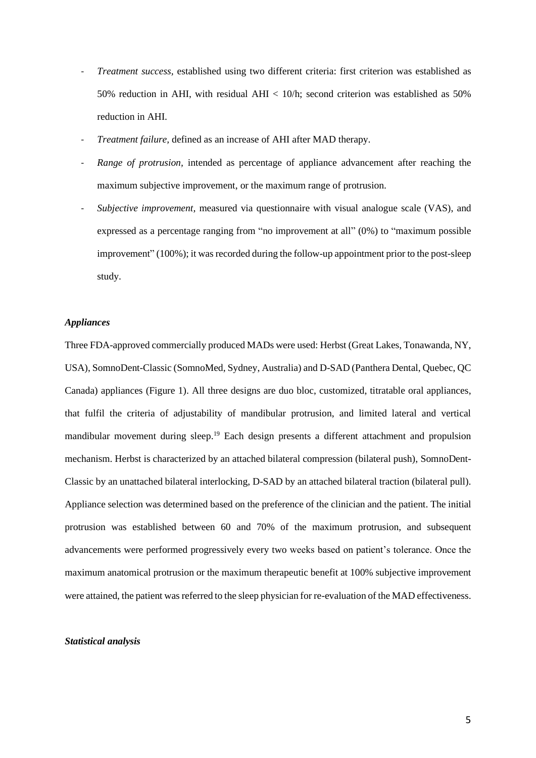- *Treatment success,* established using two different criteria: first criterion was established as 50% reduction in AHI, with residual AHI < 10/h; second criterion was established as 50% reduction in AHI.
- *Treatment failure,* defined as an increase of AHI after MAD therapy.
- *Range of protrusion,* intended as percentage of appliance advancement after reaching the maximum subjective improvement, or the maximum range of protrusion.
- *Subjective improvement,* measured via questionnaire with visual analogue scale (VAS), and expressed as a percentage ranging from "no improvement at all" (0%) to "maximum possible improvement" (100%); it was recorded during the follow-up appointment prior to the post-sleep study.

## *Appliances*

Three FDA-approved commercially produced MADs were used: Herbst (Great Lakes, Tonawanda, NY, USA), SomnoDent-Classic (SomnoMed, Sydney, Australia) and D-SAD (Panthera Dental, Quebec, QC Canada) appliances (Figure 1). All three designs are duo bloc, customized, titratable oral appliances, that fulfil the criteria of adjustability of mandibular protrusion, and limited lateral and vertical mandibular movement during sleep.<sup>19</sup> Each design presents a different attachment and propulsion mechanism. Herbst is characterized by an attached bilateral compression (bilateral push), SomnoDent-Classic by an unattached bilateral interlocking, D-SAD by an attached bilateral traction (bilateral pull). Appliance selection was determined based on the preference of the clinician and the patient. The initial protrusion was established between 60 and 70% of the maximum protrusion, and subsequent advancements were performed progressively every two weeks based on patient's tolerance. Once the maximum anatomical protrusion or the maximum therapeutic benefit at 100% subjective improvement were attained, the patient was referred to the sleep physician for re-evaluation of the MAD effectiveness.

#### *Statistical analysis*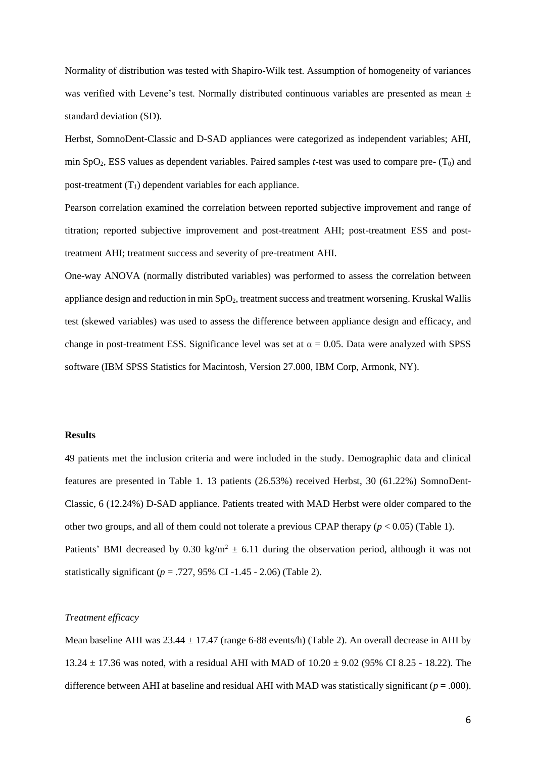Normality of distribution was tested with Shapiro-Wilk test. Assumption of homogeneity of variances was verified with Levene's test. Normally distributed continuous variables are presented as mean  $\pm$ standard deviation (SD).

Herbst, SomnoDent-Classic and D-SAD appliances were categorized as independent variables; AHI, min  $SpO<sub>2</sub>$ , ESS values as dependent variables. Paired samples *t*-test was used to compare pre-  $(T<sub>0</sub>)$  and post-treatment  $(T_1)$  dependent variables for each appliance.

Pearson correlation examined the correlation between reported subjective improvement and range of titration; reported subjective improvement and post-treatment AHI; post-treatment ESS and posttreatment AHI; treatment success and severity of pre-treatment AHI.

One-way ANOVA (normally distributed variables) was performed to assess the correlation between appliance design and reduction in min SpO<sub>2</sub>, treatment success and treatment worsening. Kruskal Wallis test (skewed variables) was used to assess the difference between appliance design and efficacy, and change in post-treatment ESS. Significance level was set at  $\alpha = 0.05$ . Data were analyzed with SPSS software (IBM SPSS Statistics for Macintosh, Version 27.000, IBM Corp, Armonk, NY).

# **Results**

49 patients met the inclusion criteria and were included in the study. Demographic data and clinical features are presented in Table 1. 13 patients (26.53%) received Herbst, 30 (61.22%) SomnoDent-Classic, 6 (12.24%) D-SAD appliance. Patients treated with MAD Herbst were older compared to the other two groups, and all of them could not tolerate a previous CPAP therapy (*p* < 0.05) (Table 1). Patients' BMI decreased by 0.30 kg/m<sup>2</sup>  $\pm$  6.11 during the observation period, although it was not statistically significant ( $p = .727, 95\%$  CI -1.45 - 2.06) (Table 2).

# *Treatment efficacy*

Mean baseline AHI was  $23.44 \pm 17.47$  (range 6-88 events/h) (Table 2). An overall decrease in AHI by 13.24 ± 17.36 was noted, with a residual AHI with MAD of 10.20 ± 9.02 (95% CI 8.25 - 18.22). The difference between AHI at baseline and residual AHI with MAD was statistically significant ( $p = .000$ ).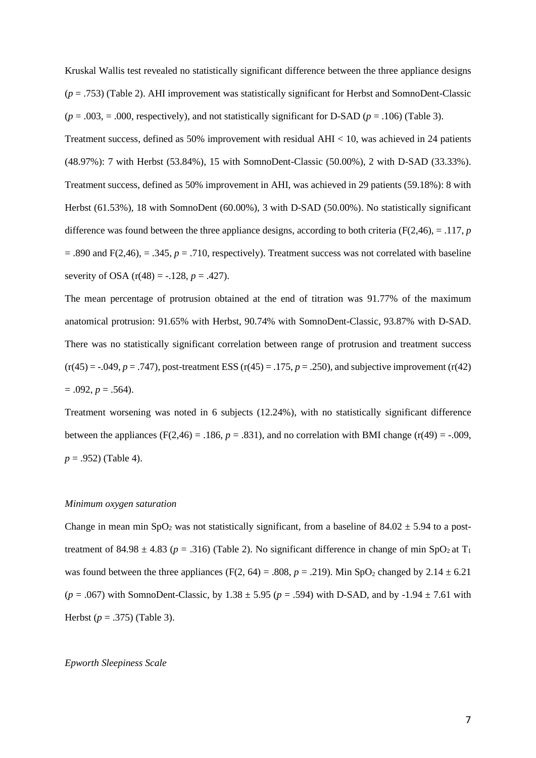Kruskal Wallis test revealed no statistically significant difference between the three appliance designs (*p* = .753) (Table 2). AHI improvement was statistically significant for Herbst and SomnoDent-Classic  $(p = .003, = .000,$  respectively), and not statistically significant for D-SAD  $(p = .106)$  (Table 3). Treatment success, defined as 50% improvement with residual AHI < 10, was achieved in 24 patients (48.97%): 7 with Herbst (53.84%), 15 with SomnoDent-Classic (50.00%), 2 with D-SAD (33.33%). Treatment success, defined as 50% improvement in AHI, was achieved in 29 patients (59.18%): 8 with Herbst (61.53%), 18 with SomnoDent (60.00%), 3 with D-SAD (50.00%). No statistically significant difference was found between the three appliance designs, according to both criteria ( $F(2,46)$ , = .117, *p*  $=$  .890 and F(2,46),  $=$  .345,  $p = .710$ , respectively). Treatment success was not correlated with baseline severity of OSA  $(r(48) = -.128, p = .427)$ .

The mean percentage of protrusion obtained at the end of titration was 91.77% of the maximum anatomical protrusion: 91.65% with Herbst, 90.74% with SomnoDent-Classic, 93.87% with D-SAD. There was no statistically significant correlation between range of protrusion and treatment success  $(r(45) = -.049, p = .747)$ , post-treatment ESS  $(r(45) = .175, p = .250)$ , and subjective improvement  $(r(42)$  $= .092, p = .564$ ).

Treatment worsening was noted in 6 subjects (12.24%), with no statistically significant difference between the appliances (F(2,46) = .186,  $p = .831$ ), and no correlation with BMI change (r(49) = -.009, *p* = .952) (Table 4).

#### *Minimum oxygen saturation*

Change in mean min SpO<sub>2</sub> was not statistically significant, from a baseline of  $84.02 \pm 5.94$  to a posttreatment of 84.98  $\pm$  4.83 ( $p = .316$ ) (Table 2). No significant difference in change of min SpO<sub>2</sub> at T<sub>1</sub> was found between the three appliances (F(2, 64) = .808,  $p = .219$ ). Min SpO<sub>2</sub> changed by 2.14  $\pm$  6.21  $(p = .067)$  with SomnoDent-Classic, by 1.38  $\pm$  5.95 ( $p = .594$ ) with D-SAD, and by -1.94  $\pm$  7.61 with Herbst (*p* = .375) (Table 3).

## *Epworth Sleepiness Scale*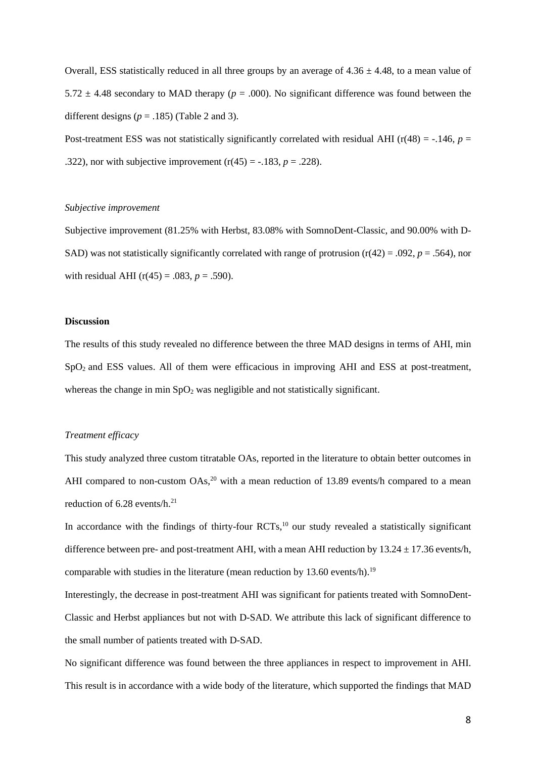Overall, ESS statistically reduced in all three groups by an average of  $4.36 \pm 4.48$ , to a mean value of 5.72  $\pm$  4.48 secondary to MAD therapy ( $p = .000$ ). No significant difference was found between the different designs ( $p = .185$ ) (Table 2 and 3).

Post-treatment ESS was not statistically significantly correlated with residual AHI ( $r(48) = -.146$ ,  $p =$ .322), nor with subjective improvement  $(r(45) = -.183, p = .228)$ .

#### *Subjective improvement*

Subjective improvement (81.25% with Herbst, 83.08% with SomnoDent-Classic, and 90.00% with D-SAD) was not statistically significantly correlated with range of protrusion  $(r(42) = .092, p = .564)$ , nor with residual AHI ( $r(45) = .083$ ,  $p = .590$ ).

# **Discussion**

The results of this study revealed no difference between the three MAD designs in terms of AHI, min SpO<sub>2</sub> and ESS values. All of them were efficacious in improving AHI and ESS at post-treatment, whereas the change in min  $SpO<sub>2</sub>$  was negligible and not statistically significant.

#### *Treatment efficacy*

This study analyzed three custom titratable OAs, reported in the literature to obtain better outcomes in AHI compared to non-custom  $OAs$ ,<sup>20</sup> with a mean reduction of 13.89 events/h compared to a mean reduction of 6.28 events/h.<sup>21</sup>

In accordance with the findings of thirty-four RCTs,<sup>10</sup> our study revealed a statistically significant difference between pre- and post-treatment AHI, with a mean AHI reduction by  $13.24 \pm 17.36$  events/h, comparable with studies in the literature (mean reduction by 13.60 events/h).<sup>19</sup>

Interestingly, the decrease in post-treatment AHI was significant for patients treated with SomnoDent-Classic and Herbst appliances but not with D-SAD. We attribute this lack of significant difference to the small number of patients treated with D-SAD.

No significant difference was found between the three appliances in respect to improvement in AHI. This result is in accordance with a wide body of the literature, which supported the findings that MAD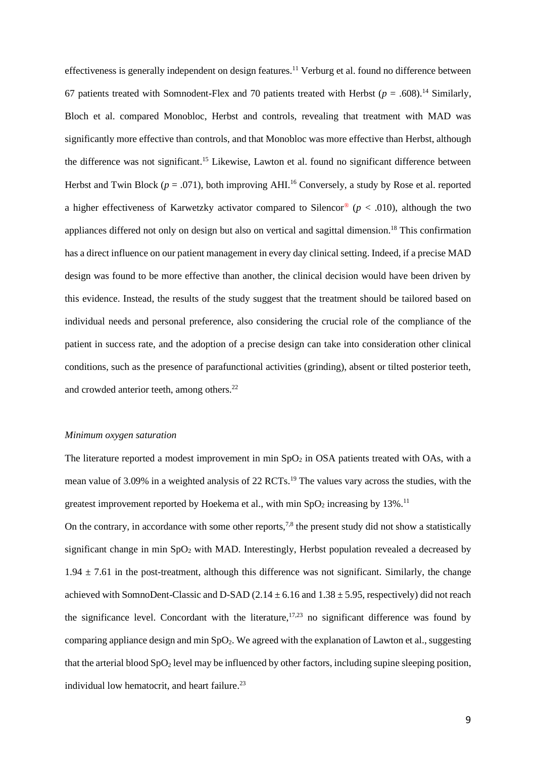effectiveness is generally independent on design features.<sup>11</sup> Verburg et al. found no difference between 67 patients treated with Somnodent-Flex and 70 patients treated with Herbst  $(p = .608).$ <sup>14</sup> Similarly, Bloch et al. compared Monobloc, Herbst and controls, revealing that treatment with MAD was significantly more effective than controls, and that Monobloc was more effective than Herbst, although the difference was not significant. <sup>15</sup> Likewise, Lawton et al. found no significant difference between Herbst and Twin Block ( $p = .071$ ), both improving AHI.<sup>16</sup> Conversely, a study by Rose et al. reported a higher effectiveness of Karwetzky activator compared to Silencor<sup>®</sup> ( $p < .010$ ), although the two appliances differed not only on design but also on vertical and sagittal dimension. <sup>18</sup> This confirmation has a direct influence on our patient management in every day clinical setting. Indeed, if a precise MAD design was found to be more effective than another, the clinical decision would have been driven by this evidence. Instead, the results of the study suggest that the treatment should be tailored based on individual needs and personal preference, also considering the crucial role of the compliance of the patient in success rate, and the adoption of a precise design can take into consideration other clinical conditions, such as the presence of parafunctional activities (grinding), absent or tilted posterior teeth, and crowded anterior teeth, among others. 22

## *Minimum oxygen saturation*

The literature reported a modest improvement in min  $SpO<sub>2</sub>$  in OSA patients treated with OAs, with a mean value of 3.09% in a weighted analysis of 22 RCTs.<sup>19</sup> The values vary across the studies, with the greatest improvement reported by Hoekema et al., with min  $SpO<sub>2</sub>$  increasing by 13%.<sup>11</sup>

On the contrary, in accordance with some other reports, $7,8$  the present study did not show a statistically significant change in min  $SpO<sub>2</sub>$  with MAD. Interestingly, Herbst population revealed a decreased by  $1.94 \pm 7.61$  in the post-treatment, although this difference was not significant. Similarly, the change achieved with SomnoDent-Classic and D-SAD (2.14  $\pm$  6.16 and 1.38  $\pm$  5.95, respectively) did not reach the significance level. Concordant with the literature,  $17,23$  no significant difference was found by comparing appliance design and min  $SpO<sub>2</sub>$ . We agreed with the explanation of Lawton et al., suggesting that the arterial blood  $SpO<sub>2</sub>$  level may be influenced by other factors, including supine sleeping position, individual low hematocrit, and heart failure.<sup>23</sup>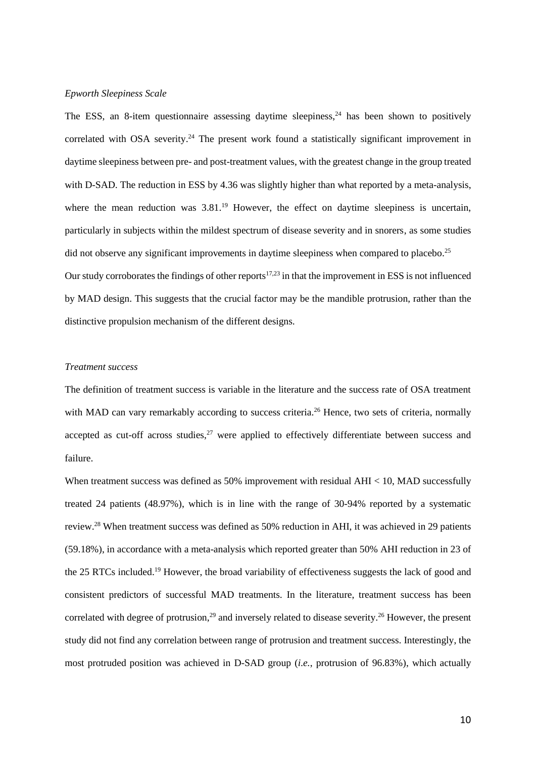# *Epworth Sleepiness Scale*

The ESS, an 8-item questionnaire assessing daytime sleepiness,  $24$  has been shown to positively correlated with OSA severity.<sup>24</sup> The present work found a statistically significant improvement in daytime sleepiness between pre- and post-treatment values, with the greatest change in the group treated with D-SAD. The reduction in ESS by 4.36 was slightly higher than what reported by a meta-analysis, where the mean reduction was 3.81.<sup>19</sup> However, the effect on daytime sleepiness is uncertain, particularly in subjects within the mildest spectrum of disease severity and in snorers, as some studies did not observe any significant improvements in daytime sleepiness when compared to placebo.<sup>25</sup> Our study corroborates the findings of other reports $17,23$  in that the improvement in ESS is not influenced by MAD design. This suggests that the crucial factor may be the mandible protrusion, rather than the distinctive propulsion mechanism of the different designs.

## *Treatment success*

The definition of treatment success is variable in the literature and the success rate of OSA treatment with MAD can vary remarkably according to success criteria.<sup>26</sup> Hence, two sets of criteria, normally accepted as cut-off across studies, $27$  were applied to effectively differentiate between success and failure.

When treatment success was defined as 50% improvement with residual AHI < 10, MAD successfully treated 24 patients (48.97%), which is in line with the range of 30-94% reported by a systematic review.<sup>28</sup> When treatment success was defined as 50% reduction in AHI, it was achieved in 29 patients (59.18%), in accordance with a meta-analysis which reported greater than 50% AHI reduction in 23 of the 25 RTCs included.<sup>19</sup> However, the broad variability of effectiveness suggests the lack of good and consistent predictors of successful MAD treatments. In the literature, treatment success has been correlated with degree of protrusion,<sup>29</sup> and inversely related to disease severity.<sup>26</sup> However, the present study did not find any correlation between range of protrusion and treatment success. Interestingly, the most protruded position was achieved in D-SAD group (*i.e.*, protrusion of 96.83%), which actually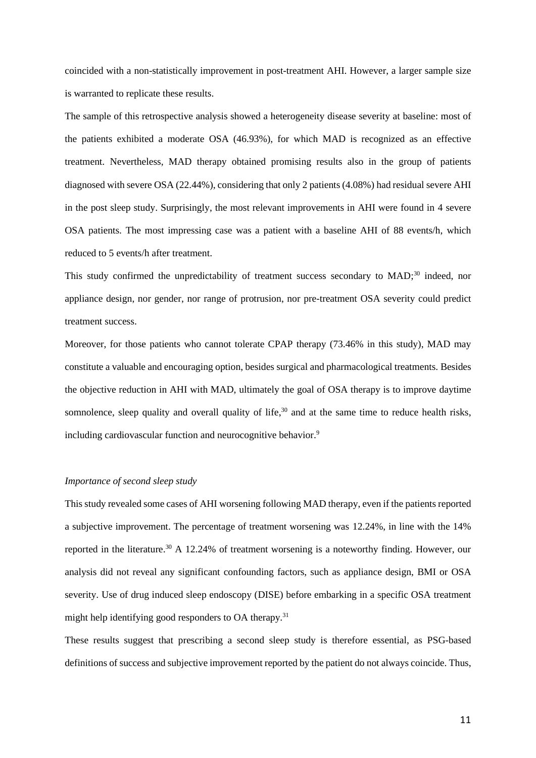coincided with a non-statistically improvement in post-treatment AHI. However, a larger sample size is warranted to replicate these results.

The sample of this retrospective analysis showed a heterogeneity disease severity at baseline: most of the patients exhibited a moderate OSA (46.93%), for which MAD is recognized as an effective treatment. Nevertheless, MAD therapy obtained promising results also in the group of patients diagnosed with severe OSA (22.44%), considering that only 2 patients (4.08%) had residual severe AHI in the post sleep study. Surprisingly, the most relevant improvements in AHI were found in 4 severe OSA patients. The most impressing case was a patient with a baseline AHI of 88 events/h, which reduced to 5 events/h after treatment.

This study confirmed the unpredictability of treatment success secondary to MAD;<sup>30</sup> indeed, nor appliance design, nor gender, nor range of protrusion, nor pre-treatment OSA severity could predict treatment success.

Moreover, for those patients who cannot tolerate CPAP therapy (73.46% in this study), MAD may constitute a valuable and encouraging option, besides surgical and pharmacological treatments. Besides the objective reduction in AHI with MAD, ultimately the goal of OSA therapy is to improve daytime somnolence, sleep quality and overall quality of life, $30$  and at the same time to reduce health risks, including cardiovascular function and neurocognitive behavior.<sup>9</sup>

# *Importance of second sleep study*

This study revealed some cases of AHI worsening following MAD therapy, even if the patients reported a subjective improvement. The percentage of treatment worsening was 12.24%, in line with the 14% reported in the literature.<sup>30</sup> A 12.24% of treatment worsening is a noteworthy finding. However, our analysis did not reveal any significant confounding factors, such as appliance design, BMI or OSA severity. Use of drug induced sleep endoscopy (DISE) before embarking in a specific OSA treatment might help identifying good responders to OA therapy.<sup>31</sup>

These results suggest that prescribing a second sleep study is therefore essential, as PSG-based definitions of success and subjective improvement reported by the patient do not always coincide. Thus,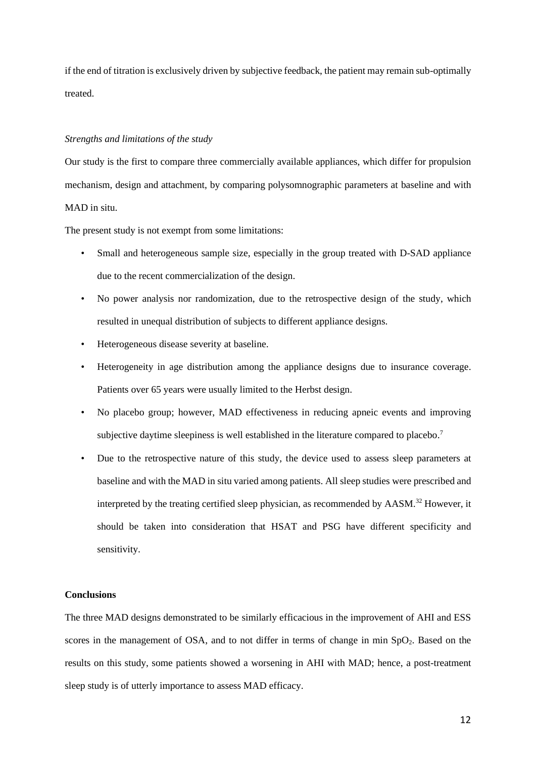if the end of titration is exclusively driven by subjective feedback, the patient may remain sub-optimally treated.

## *Strengths and limitations of the study*

Our study is the first to compare three commercially available appliances, which differ for propulsion mechanism, design and attachment, by comparing polysomnographic parameters at baseline and with MAD in situ.

The present study is not exempt from some limitations:

- Small and heterogeneous sample size, especially in the group treated with D-SAD appliance due to the recent commercialization of the design.
- No power analysis nor randomization, due to the retrospective design of the study, which resulted in unequal distribution of subjects to different appliance designs.
- Heterogeneous disease severity at baseline.
- Heterogeneity in age distribution among the appliance designs due to insurance coverage. Patients over 65 years were usually limited to the Herbst design.
- No placebo group; however, MAD effectiveness in reducing apneic events and improving subjective daytime sleepiness is well established in the literature compared to placebo.<sup>7</sup>
- Due to the retrospective nature of this study, the device used to assess sleep parameters at baseline and with the MAD in situ varied among patients. All sleep studies were prescribed and interpreted by the treating certified sleep physician, as recommended by AASM.<sup>32</sup> However, it should be taken into consideration that HSAT and PSG have different specificity and sensitivity.

## **Conclusions**

The three MAD designs demonstrated to be similarly efficacious in the improvement of AHI and ESS scores in the management of OSA, and to not differ in terms of change in min  $SpO<sub>2</sub>$ . Based on the results on this study, some patients showed a worsening in AHI with MAD; hence, a post-treatment sleep study is of utterly importance to assess MAD efficacy.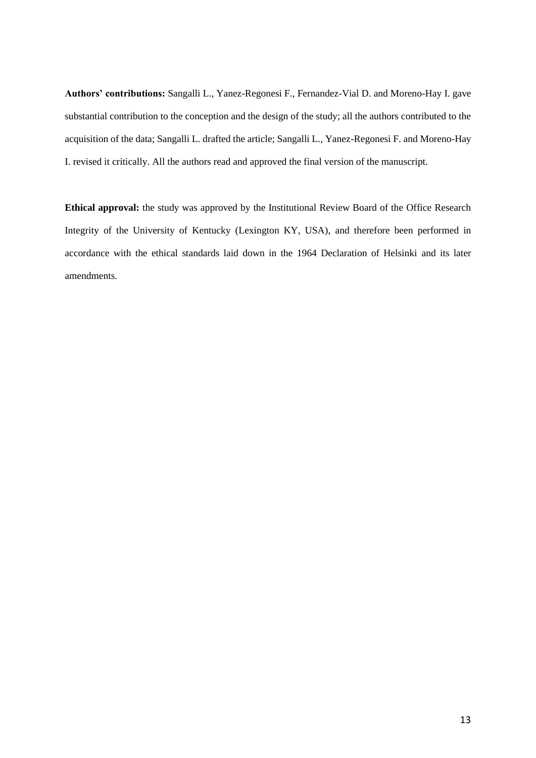**Authors' contributions:** Sangalli L., Yanez-Regonesi F., Fernandez-Vial D. and Moreno-Hay I. gave substantial contribution to the conception and the design of the study; all the authors contributed to the acquisition of the data; Sangalli L. drafted the article; Sangalli L., Yanez-Regonesi F. and Moreno-Hay I. revised it critically. All the authors read and approved the final version of the manuscript.

**Ethical approval:** the study was approved by the Institutional Review Board of the Office Research Integrity of the University of Kentucky (Lexington KY, USA), and therefore been performed in accordance with the ethical standards laid down in the 1964 Declaration of Helsinki and its later amendments.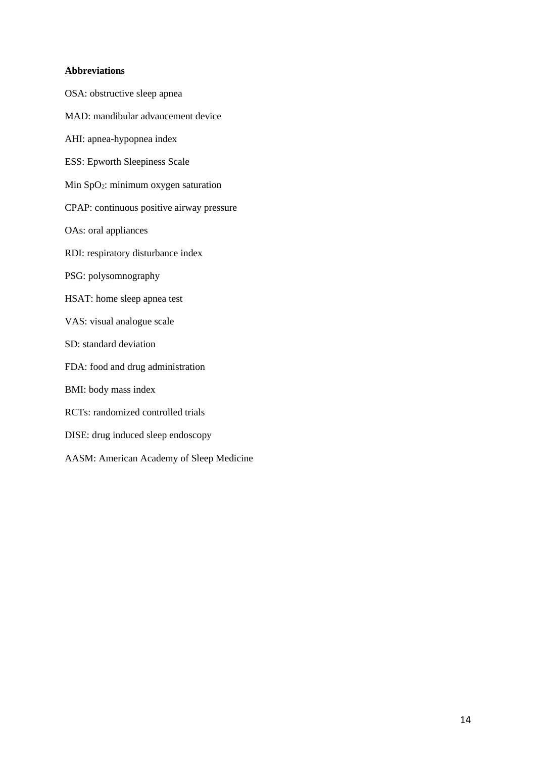## **Abbreviations**

OSA: obstructive sleep apnea

- MAD: mandibular advancement device AHI: apnea-hypopnea index ESS: Epworth Sleepiness Scale Min SpO<sub>2</sub>: minimum oxygen saturation CPAP: continuous positive airway pressure OAs: oral appliances RDI: respiratory disturbance index PSG: polysomnography HSAT: home sleep apnea test VAS: visual analogue scale SD: standard deviation FDA: food and drug administration BMI: body mass index RCTs: randomized controlled trials DISE: drug induced sleep endoscopy
- AASM: American Academy of Sleep Medicine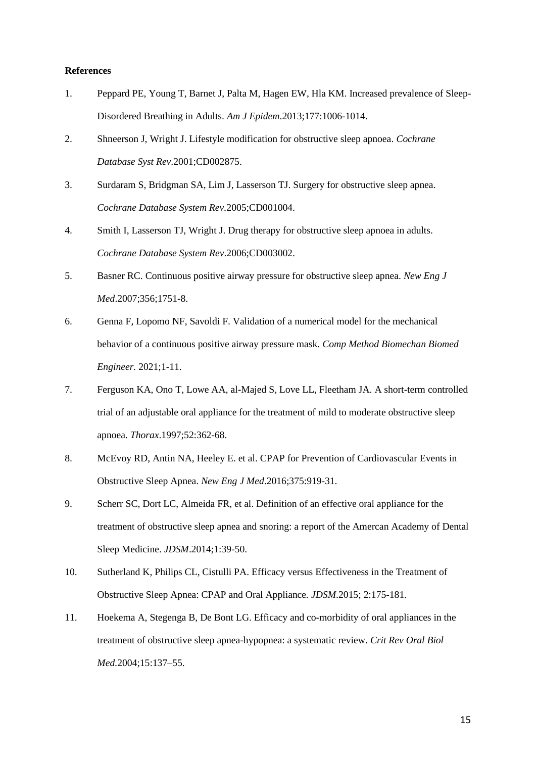## **References**

- 1. Peppard PE, Young T, Barnet J, Palta M, Hagen EW, Hla KM. Increased prevalence of Sleep-Disordered Breathing in Adults. *Am J Epidem*.2013;177:1006-1014.
- 2. Shneerson J, Wright J. Lifestyle modification for obstructive sleep apnoea. *Cochrane Database Syst Rev*.2001;CD002875.
- 3. Surdaram S, Bridgman SA, Lim J, Lasserson TJ. Surgery for obstructive sleep apnea. *Cochrane Database System Rev.*2005;CD001004.
- 4. Smith I, Lasserson TJ, Wright J. Drug therapy for obstructive sleep apnoea in adults. *Cochrane Database System Rev*.2006;CD003002.
- 5. Basner RC. Continuous positive airway pressure for obstructive sleep apnea. *New Eng J Med*.2007;356;1751-8.
- 6. Genna F, Lopomo NF, Savoldi F. Validation of a numerical model for the mechanical behavior of a continuous positive airway pressure mask. *Comp Method Biomechan Biomed Engineer.* 2021;1-11.
- 7. Ferguson KA, Ono T, Lowe AA, al-Majed S, Love LL, Fleetham JA. A short-term controlled trial of an adjustable oral appliance for the treatment of mild to moderate obstructive sleep apnoea. *Thorax*.1997;52:362-68.
- 8. McEvoy RD, Antin NA, Heeley E. et al. CPAP for Prevention of Cardiovascular Events in Obstructive Sleep Apnea. *New Eng J Med*.2016;375:919-31.
- 9. Scherr SC, Dort LC, Almeida FR, et al. Definition of an effective oral appliance for the treatment of obstructive sleep apnea and snoring: a report of the Amercan Academy of Dental Sleep Medicine. *JDSM*.2014;1:39-50.
- 10. Sutherland K, Philips CL, Cistulli PA. Efficacy versus Effectiveness in the Treatment of Obstructive Sleep Apnea: CPAP and Oral Appliance*. JDSM*.2015; 2:175-181.
- 11. Hoekema A, Stegenga B, De Bont LG. Efficacy and co-morbidity of oral appliances in the treatment of obstructive sleep apnea-hypopnea: a systematic review. *Crit Rev Oral Biol Med.*2004;15:137–55.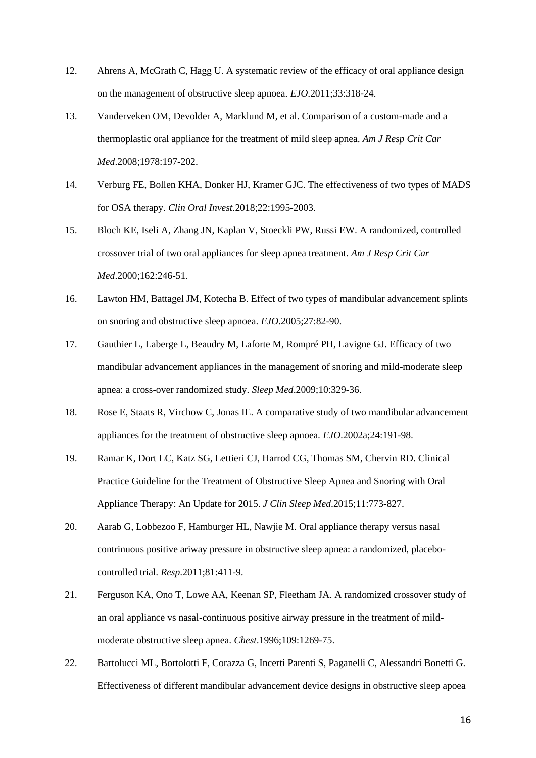- 12. Ahrens A, McGrath C, Hagg U. A systematic review of the efficacy of oral appliance design on the management of obstructive sleep apnoea. *EJO*.2011;33:318-24.
- 13. Vanderveken OM, Devolder A, Marklund M, et al. Comparison of a custom-made and a thermoplastic oral appliance for the treatment of mild sleep apnea. *Am J Resp Crit Car Med*.2008;1978:197-202.
- 14. Verburg FE, Bollen KHA, Donker HJ, Kramer GJC. The effectiveness of two types of MADS for OSA therapy. *Clin Oral Invest.*2018;22:1995-2003.
- 15. Bloch KE, Iseli A, Zhang JN, Kaplan V, Stoeckli PW, Russi EW. A randomized, controlled crossover trial of two oral appliances for sleep apnea treatment. *Am J Resp Crit Car Med*.2000;162:246-51.
- 16. Lawton HM, Battagel JM, Kotecha B. Effect of two types of mandibular advancement splints on snoring and obstructive sleep apnoea. *EJO*.2005;27:82-90.
- 17. Gauthier L, Laberge L, Beaudry M, Laforte M, Rompré PH, Lavigne GJ. Efficacy of two mandibular advancement appliances in the management of snoring and mild-moderate sleep apnea: a cross-over randomized study. *Sleep Med*.2009;10:329-36.
- 18. Rose E, Staats R, Virchow C, Jonas IE. A comparative study of two mandibular advancement appliances for the treatment of obstructive sleep apnoea. *EJO*.2002a;24:191-98.
- 19. Ramar K, Dort LC, Katz SG, Lettieri CJ, Harrod CG, Thomas SM, Chervin RD. Clinical Practice Guideline for the Treatment of Obstructive Sleep Apnea and Snoring with Oral Appliance Therapy: An Update for 2015. *J Clin Sleep Med*.2015;11:773-827.
- 20. Aarab G, Lobbezoo F, Hamburger HL, Nawjie M. Oral appliance therapy versus nasal contrinuous positive ariway pressure in obstructive sleep apnea: a randomized, placebocontrolled trial. *Resp*.2011;81:411-9.
- 21. Ferguson KA, Ono T, Lowe AA, Keenan SP, Fleetham JA. A randomized crossover study of an oral appliance vs nasal-continuous positive airway pressure in the treatment of mildmoderate obstructive sleep apnea. *Chest*.1996;109:1269-75.
- 22. Bartolucci ML, Bortolotti F, Corazza G, Incerti Parenti S, Paganelli C, Alessandri Bonetti G. Effectiveness of different mandibular advancement device designs in obstructive sleep apoea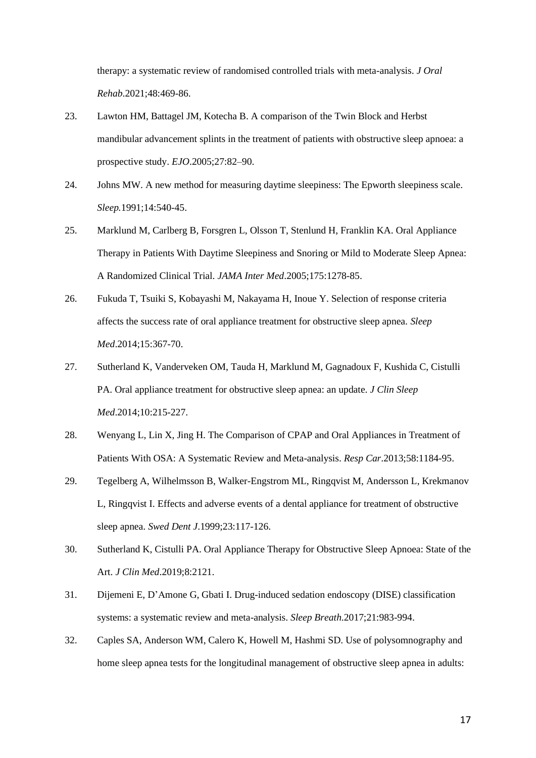therapy: a systematic review of randomised controlled trials with meta-analysis. *J Oral Rehab*.2021;48:469-86.

- 23. Lawton HM, Battagel JM, Kotecha B. A comparison of the Twin Block and Herbst mandibular advancement splints in the treatment of patients with obstructive sleep apnoea: a prospective study. *EJO*.2005;27:82–90.
- 24. Johns MW. A new method for measuring daytime sleepiness: The Epworth sleepiness scale. *Sleep.*1991;14:540-45.
- 25. Marklund M, Carlberg B, Forsgren L, Olsson T, Stenlund H, Franklin KA. Oral Appliance Therapy in Patients With Daytime Sleepiness and Snoring or Mild to Moderate Sleep Apnea: A Randomized Clinical Trial. *JAMA Inter Med*.2005;175:1278-85.
- 26. Fukuda T, Tsuiki S, Kobayashi M, Nakayama H, Inoue Y. Selection of response criteria affects the success rate of oral appliance treatment for obstructive sleep apnea. *Sleep Med*.2014;15:367-70.
- 27. Sutherland K, Vanderveken OM, Tauda H, Marklund M, Gagnadoux F, Kushida C, Cistulli PA. Oral appliance treatment for obstructive sleep apnea: an update. *J Clin Sleep Med*.2014;10:215-227.
- 28. Wenyang L, Lin X, Jing H. The Comparison of CPAP and Oral Appliances in Treatment of Patients With OSA: A Systematic Review and Meta-analysis. *Resp Car*.2013;58:1184-95.
- 29. Tegelberg A, Wilhelmsson B, Walker-Engstrom ML, Ringqvist M, Andersson L, Krekmanov L, Ringqvist I. Effects and adverse events of a dental appliance for treatment of obstructive sleep apnea. *Swed Dent J*.1999;23:117-126.
- 30. Sutherland K, Cistulli PA. Oral Appliance Therapy for Obstructive Sleep Apnoea: State of the Art. *J Clin Med*.2019;8:2121.
- 31. Dijemeni E, D'Amone G, Gbati I. Drug-induced sedation endoscopy (DISE) classification systems: a systematic review and meta-analysis. *Sleep Breath*.2017;21:983-994.
- 32. Caples SA, Anderson WM, Calero K, Howell M, Hashmi SD. Use of polysomnography and home sleep apnea tests for the longitudinal management of obstructive sleep apnea in adults: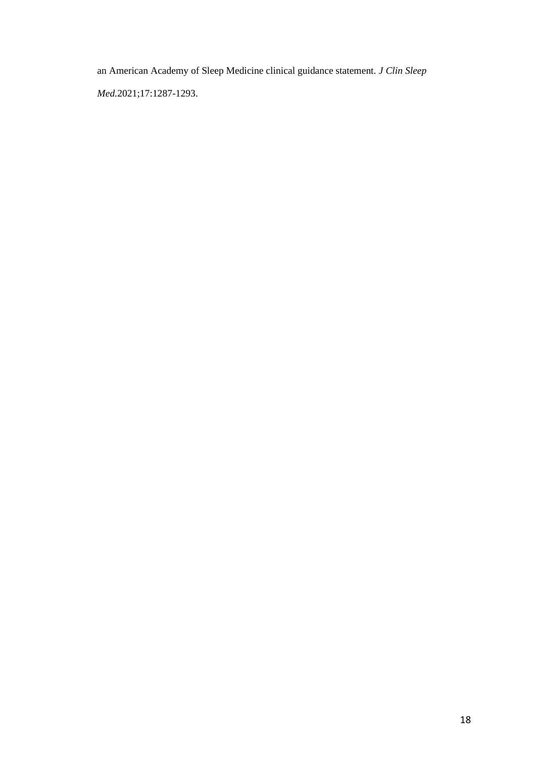an American Academy of Sleep Medicine clinical guidance statement. *J Clin Sleep* 

*Med.*2021;17:1287-1293.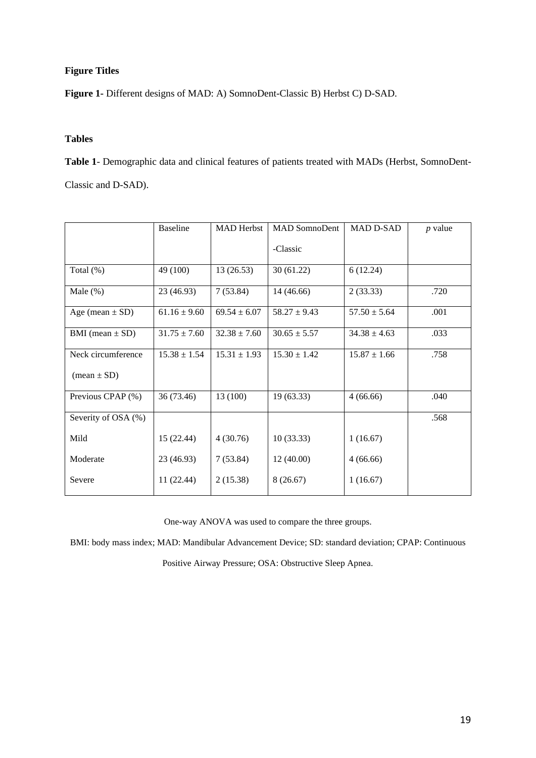# **Figure Titles**

**Figure 1-** Different designs of MAD: A) SomnoDent-Classic B) Herbst C) D-SAD.

# **Tables**

**Table 1**- Demographic data and clinical features of patients treated with MADs (Herbst, SomnoDent-Classic and D-SAD).

|                               | <b>Baseline</b>  | <b>MAD</b> Herbst | <b>MAD SomnoDent</b> | <b>MAD D-SAD</b> | $p$ value |
|-------------------------------|------------------|-------------------|----------------------|------------------|-----------|
|                               |                  |                   | -Classic             |                  |           |
| Total $(\%)$                  | 49 (100)         | 13(26.53)         | 30(61.22)            | 6(12.24)         |           |
| Male $(\%)$                   | 23 (46.93)       | 7(53.84)          | 14 (46.66)           | 2(33.33)         | .720      |
| Age (mean $\pm$ SD)           | $61.16 \pm 9.60$ | $69.54 \pm 6.07$  | $58.27 \pm 9.43$     | $57.50 \pm 5.64$ | .001      |
| BMI (mean $\pm$ SD)           | $31.75 \pm 7.60$ | $32.38 \pm 7.60$  | $30.65 \pm 5.57$     | $34.38 \pm 4.63$ | .033      |
| Neck circumference            | $15.38 \pm 1.54$ | $15.31 \pm 1.93$  | $15.30 \pm 1.42$     | $15.87 \pm 1.66$ | .758      |
| $(\text{mean} \pm \text{SD})$ |                  |                   |                      |                  |           |
| Previous CPAP (%)             | 36 (73.46)       | 13 (100)          | 19 (63.33)           | 4(66.66)         | .040      |
| Severity of OSA (%)           |                  |                   |                      |                  | .568      |
| Mild                          | 15 (22.44)       | 4(30.76)          | 10(33.33)            | 1(16.67)         |           |
| Moderate                      | 23 (46.93)       | 7(53.84)          | 12(40.00)            | 4(66.66)         |           |
| Severe                        | 11 (22.44)       | 2(15.38)          | 8(26.67)             | 1(16.67)         |           |

One-way ANOVA was used to compare the three groups.

BMI: body mass index; MAD: Mandibular Advancement Device; SD: standard deviation; CPAP: Continuous

Positive Airway Pressure; OSA: Obstructive Sleep Apnea.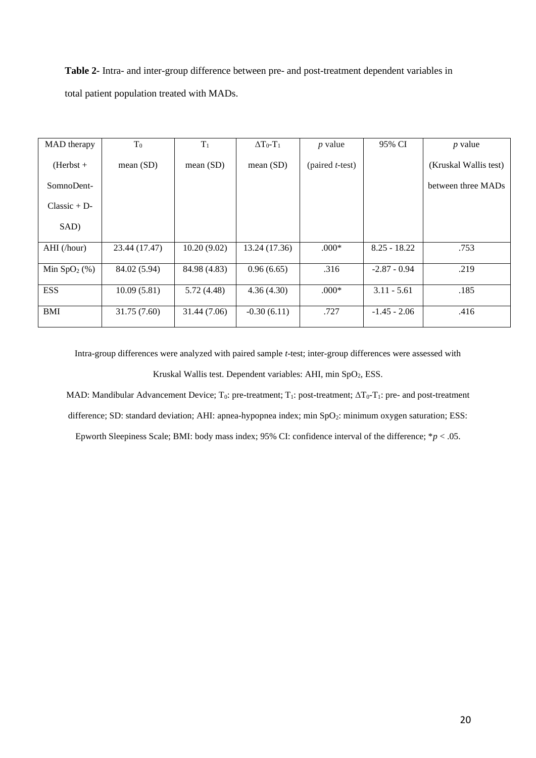**Table 2-** Intra- and inter-group difference between pre- and post-treatment dependent variables in total patient population treated with MADs.

| MAD therapy    | $T_0$         | $T_1$        | $\Delta T_0 - T_1$ | $p$ value         | 95% CI         | $p$ value             |
|----------------|---------------|--------------|--------------------|-------------------|----------------|-----------------------|
| $(Herbst +$    | mean(SD)      | mean $(SD)$  | mean $(SD)$        | $(paired t-test)$ |                | (Kruskal Wallis test) |
| SomnoDent-     |               |              |                    |                   |                | between three MADs    |
| $Classic + D$  |               |              |                    |                   |                |                       |
| SAD)           |               |              |                    |                   |                |                       |
| AHI (/hour)    | 23.44 (17.47) | 10.20(9.02)  | 13.24 (17.36)      | $.000*$           | $8.25 - 18.22$ | .753                  |
| Min $SpO2(\%)$ | 84.02 (5.94)  | 84.98 (4.83) | 0.96(6.65)         | .316              | $-2.87 - 0.94$ | .219                  |
| <b>ESS</b>     | 10.09(5.81)   | 5.72 (4.48)  | 4.36(4.30)         | $.000*$           | $3.11 - 5.61$  | .185                  |
| <b>BMI</b>     | 31.75 (7.60)  | 31.44 (7.06) | $-0.30(6.11)$      | .727              | $-1.45 - 2.06$ | .416                  |

Intra-group differences were analyzed with paired sample *t*-test; inter-group differences were assessed with

Kruskal Wallis test. Dependent variables: AHI, min SpO<sub>2</sub>, ESS.

MAD: Mandibular Advancement Device; T<sub>0</sub>: pre-treatment; T<sub>1</sub>: post-treatment; ΔT<sub>0</sub>-T<sub>1</sub>: pre- and post-treatment

difference; SD: standard deviation; AHI: apnea-hypopnea index; min SpO<sub>2</sub>: minimum oxygen saturation; ESS:

Epworth Sleepiness Scale; BMI: body mass index; 95% CI: confidence interval of the difference; \**p* < .05.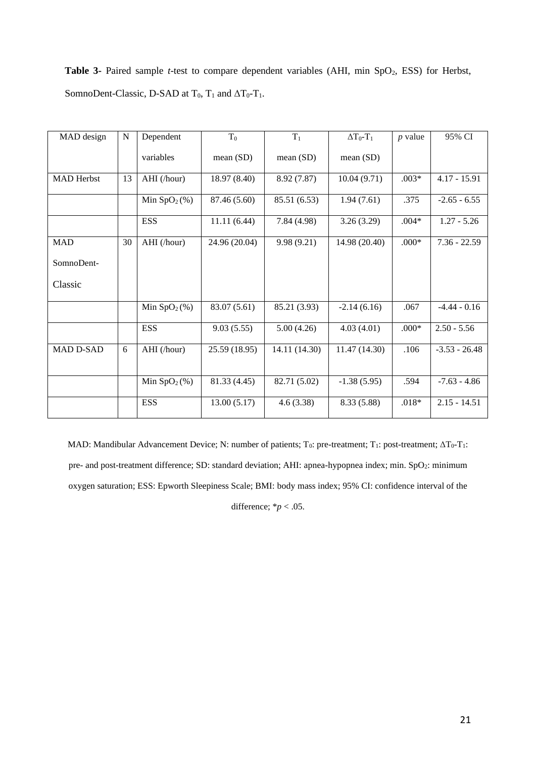Table 3- Paired sample *t*-test to compare dependent variables (AHI, min SpO<sub>2</sub>, ESS) for Herbst, SomnoDent-Classic, D-SAD at  $T_0$ ,  $T_1$  and  $\Delta T_0$ - $T_1$ .

| MAD design        | $\mathbf N$ | Dependent     | $T_0$         | $T_1$         | $\Delta T_0 - T_1$ | $p$ value | 95% CI          |
|-------------------|-------------|---------------|---------------|---------------|--------------------|-----------|-----------------|
|                   |             | variables     | mean (SD)     | mean(SD)      | mean(SD)           |           |                 |
| <b>MAD</b> Herbst | 13          | AHI (/hour)   | 18.97 (8.40)  | 8.92 (7.87)   | 10.04(9.71)        | $.003*$   | $4.17 - 15.91$  |
|                   |             | Min $SpO2(%)$ | 87.46 (5.60)  | 85.51 (6.53)  | 1.94(7.61)         | .375      | $-2.65 - 6.55$  |
|                   |             | <b>ESS</b>    | 11.11(6.44)   | 7.84(4.98)    | 3.26(3.29)         | $.004*$   | $1.27 - 5.26$   |
| <b>MAD</b>        | 30          | AHI (/hour)   | 24.96 (20.04) | 9.98(9.21)    | 14.98 (20.40)      | $.000*$   | $7.36 - 22.59$  |
| SomnoDent-        |             |               |               |               |                    |           |                 |
| Classic           |             |               |               |               |                    |           |                 |
|                   |             | Min $SpO2(%)$ | 83.07 (5.61)  | 85.21 (3.93)  | $-2.14(6.16)$      | .067      | $-4.44 - 0.16$  |
|                   |             | <b>ESS</b>    | 9.03(5.55)    | 5.00(4.26)    | 4.03(4.01)         | $.000*$   | $2.50 - 5.56$   |
| <b>MAD D-SAD</b>  | 6           | AHI (/hour)   | 25.59 (18.95) | 14.11 (14.30) | 11.47(14.30)       | .106      | $-3.53 - 26.48$ |
|                   |             | Min $SpO2(%)$ | 81.33 (4.45)  | 82.71 (5.02)  | $-1.38(5.95)$      | .594      | $-7.63 - 4.86$  |
|                   |             | <b>ESS</b>    | 13.00(5.17)   | 4.6(3.38)     | 8.33 (5.88)        | $.018*$   | $2.15 - 14.51$  |

MAD: Mandibular Advancement Device; N: number of patients; T<sub>0</sub>: pre-treatment; T<sub>1</sub>: post-treatment; ΔT<sub>0</sub>-T<sub>1</sub>: pre- and post-treatment difference; SD: standard deviation; AHI: apnea-hypopnea index; min. SpO<sub>2</sub>: minimum oxygen saturation; ESS: Epworth Sleepiness Scale; BMI: body mass index; 95% CI: confidence interval of the difference;  $**p* < .05$ .